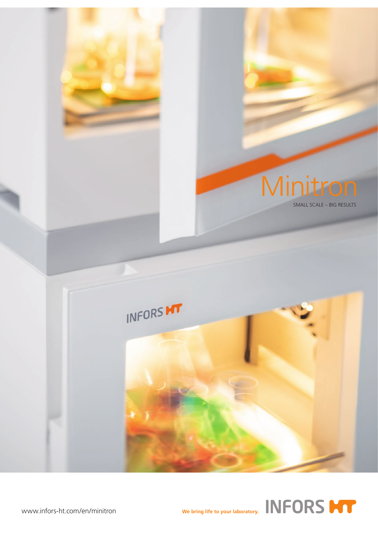

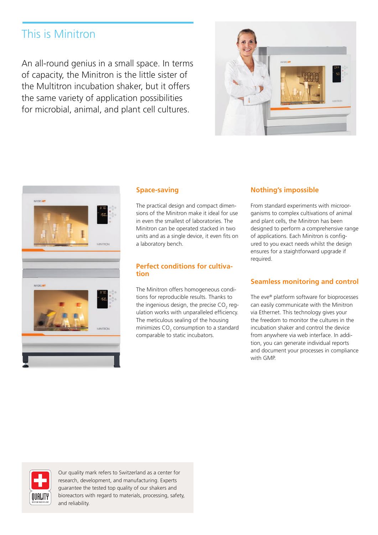# This is Minitron

An all-round genius in a small space. In terms of capacity, the Minitron is the little sister of the Multitron incubation shaker, but it offers the same variety of application possibilities for microbial, animal, and plant cell cultures.





### **Space-saving**

The practical design and compact dimensions of the Minitron make it ideal for use in even the smallest of laboratories. The Minitron can be operated stacked in two units and as a single device, it even fits on a laboratory bench.

### **Perfect conditions for cultivation**

The Minitron offers homogeneous conditions for reproducible results. Thanks to the ingenious design, the precise CO<sub>2</sub> regulation works with unparalleled efficiency. The meticulous sealing of the housing minimizes  $CO<sub>2</sub>$  consumption to a standard comparable to static incubators.

### **Nothing's impossible**

From standard experiments with microorganisms to complex cultivations of animal and plant cells, the Minitron has been designed to perform a comprehensive range of applications. Each Minitron is configured to you exact needs whilst the design ensures for a staightforward upgrade if required.

## **Seamless monitoring and control**

The eve® platform software for bioprocesses can easily communicate with the Minitron via Ethernet. This technology gives your the freedom to monitor the cultures in the incubation shaker and control the device from anywhere via web interface. In addition, you can generate individual reports and document your processes in compliance with GMP.



Our quality mark refers to Switzerland as a center for research, development, and manufacturing. Experts guarantee the tested top quality of our shakers and bioreactors with regard to materials, processing, safety, and reliability.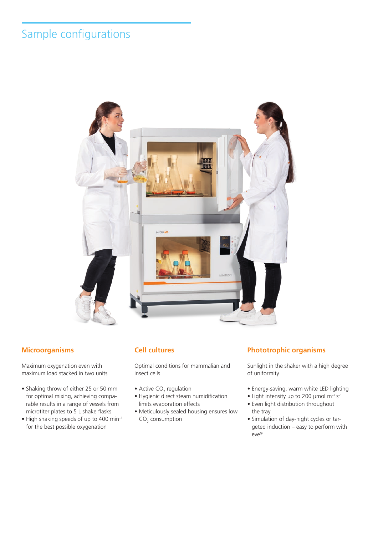# Sample configurations



## **Microorganisms**

Maximum oxygenation even with maximum load stacked in two units

- Shaking throw of either 25 or 50 mm for optimal mixing, achieving comparable results in a range of vessels from microtiter plates to 5 L shake flasks
- High shaking speeds of up to 400 min–1 for the best possible oxygenation

## **Cell cultures**

Optimal conditions for mammalian and insect cells

- Active CO<sub>2</sub> regulation
- Hygienic direct steam humidification limits evaporation effects
- Meticulously sealed housing ensures low  $CO<sub>2</sub>$  consumption

## **Phototrophic organisms**

Sunlight in the shaker with a high degree of uniformity

- Energy-saving, warm white LED lighting
- Light intensity up to 200  $\mu$ mol m<sup>-2</sup> s<sup>-1</sup>
- Even light distribution throughout the tray
- Simulation of day-night cycles or targeted induction – easy to perform with eve®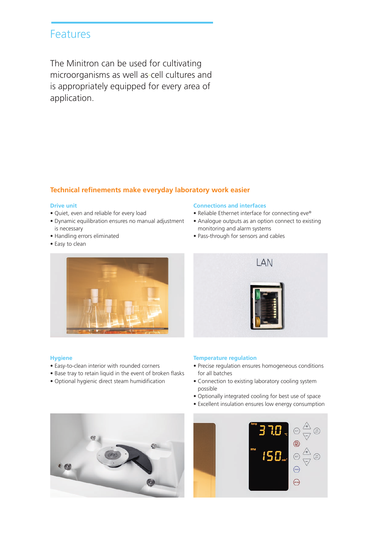## Features

The Minitron can be used for cultivating microorganisms as well as-cell cultures and is appropriately equipped for every area of application.

## **Technical refinements make everyday laboratory work easier**

### **Drive unit**

- Quiet, even and reliable for every load
- Dynamic equilibration ensures no manual adjustment is necessary
- Handling errors eliminated
- Easy to clean



### **Hygiene**

- Easy-to-clean interior with rounded corners
- Base tray to retain liquid in the event of broken flasks
- Optional hygienic direct steam humidification

### **Connections and interfaces**

- Reliable Ethernet interface for connecting eve®
- Analogue outputs as an option connect to existing monitoring and alarm systems
- Pass-through for sensors and cables



### **Temperature regulation**

- Precise regulation ensures homogeneous conditions for all batches
- Connection to existing laboratory cooling system possible
- Optionally integrated cooling for best use of space
- Excellent insulation ensures low energy consumption



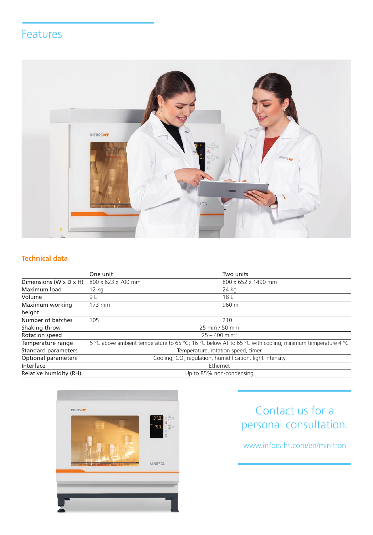## Features



## **Technical data**

|                                      | One unit                                                             | Two units                                                                                               |  |
|--------------------------------------|----------------------------------------------------------------------|---------------------------------------------------------------------------------------------------------|--|
| Dimensions ( $W \times D \times H$ ) | 800 x 623 x 700 mm                                                   | 800 x 652 x 1490 mm                                                                                     |  |
| Maximum load                         | $12$ kg                                                              | 24 kg                                                                                                   |  |
| Volume                               | 9 L                                                                  | 18 L                                                                                                    |  |
| Maximum working                      | 173 mm                                                               | 960 m                                                                                                   |  |
| height                               |                                                                      |                                                                                                         |  |
| Number of batches                    | 105                                                                  | 210                                                                                                     |  |
| Shaking throw                        | 25 mm / 50 mm                                                        |                                                                                                         |  |
| Rotation speed                       | $25 - 400$ min <sup>-1</sup>                                         |                                                                                                         |  |
| Temperature range                    |                                                                      | 5 °C above ambient temperature to 65 °C; 16 °C below AT to 65 °C with cooling; minimum temperature 4 °C |  |
| Standard parameters                  | Temperature, rotation speed, timer                                   |                                                                                                         |  |
| Optional parameters                  | Cooling, CO <sub>2</sub> regulation, humidification, light intensity |                                                                                                         |  |
| Interface                            | Ethernet                                                             |                                                                                                         |  |
| Relative humidity (RH)               | Up to 85% non-condensing                                             |                                                                                                         |  |



# Contact us for a personal consultation.

## www.infors-ht.com/en/minitron